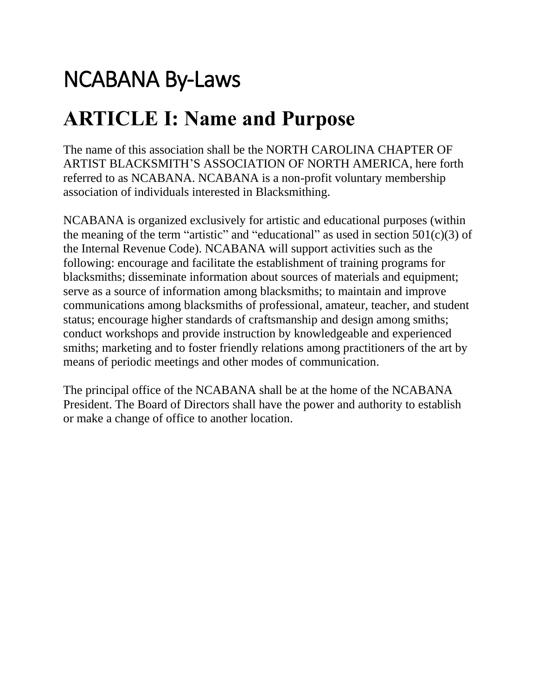# NCABANA By-Laws

### **ARTICLE I: Name and Purpose**

The name of this association shall be the NORTH CAROLINA CHAPTER OF ARTIST BLACKSMITH'S ASSOCIATION OF NORTH AMERICA, here forth referred to as NCABANA. NCABANA is a non-profit voluntary membership association of individuals interested in Blacksmithing.

NCABANA is organized exclusively for artistic and educational purposes (within the meaning of the term "artistic" and "educational" as used in section  $501(c)(3)$  of the Internal Revenue Code). NCABANA will support activities such as the following: encourage and facilitate the establishment of training programs for blacksmiths; disseminate information about sources of materials and equipment; serve as a source of information among blacksmiths; to maintain and improve communications among blacksmiths of professional, amateur, teacher, and student status; encourage higher standards of craftsmanship and design among smiths; conduct workshops and provide instruction by knowledgeable and experienced smiths; marketing and to foster friendly relations among practitioners of the art by means of periodic meetings and other modes of communication.

The principal office of the NCABANA shall be at the home of the NCABANA President. The Board of Directors shall have the power and authority to establish or make a change of office to another location.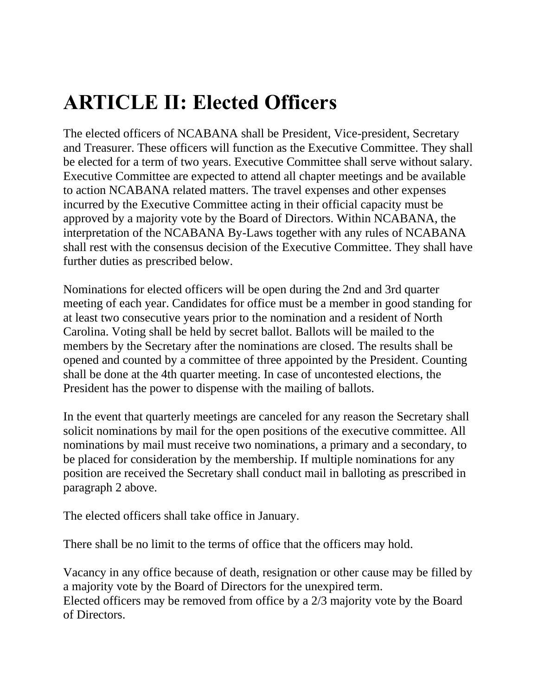# **ARTICLE II: Elected Officers**

The elected officers of NCABANA shall be President, Vice-president, Secretary and Treasurer. These officers will function as the Executive Committee. They shall be elected for a term of two years. Executive Committee shall serve without salary. Executive Committee are expected to attend all chapter meetings and be available to action NCABANA related matters. The travel expenses and other expenses incurred by the Executive Committee acting in their official capacity must be approved by a majority vote by the Board of Directors. Within NCABANA, the interpretation of the NCABANA By-Laws together with any rules of NCABANA shall rest with the consensus decision of the Executive Committee. They shall have further duties as prescribed below.

Nominations for elected officers will be open during the 2nd and 3rd quarter meeting of each year. Candidates for office must be a member in good standing for at least two consecutive years prior to the nomination and a resident of North Carolina. Voting shall be held by secret ballot. Ballots will be mailed to the members by the Secretary after the nominations are closed. The results shall be opened and counted by a committee of three appointed by the President. Counting shall be done at the 4th quarter meeting. In case of uncontested elections, the President has the power to dispense with the mailing of ballots.

In the event that quarterly meetings are canceled for any reason the Secretary shall solicit nominations by mail for the open positions of the executive committee. All nominations by mail must receive two nominations, a primary and a secondary, to be placed for consideration by the membership. If multiple nominations for any position are received the Secretary shall conduct mail in balloting as prescribed in paragraph 2 above.

The elected officers shall take office in January.

There shall be no limit to the terms of office that the officers may hold.

Vacancy in any office because of death, resignation or other cause may be filled by a majority vote by the Board of Directors for the unexpired term. Elected officers may be removed from office by a 2/3 majority vote by the Board of Directors.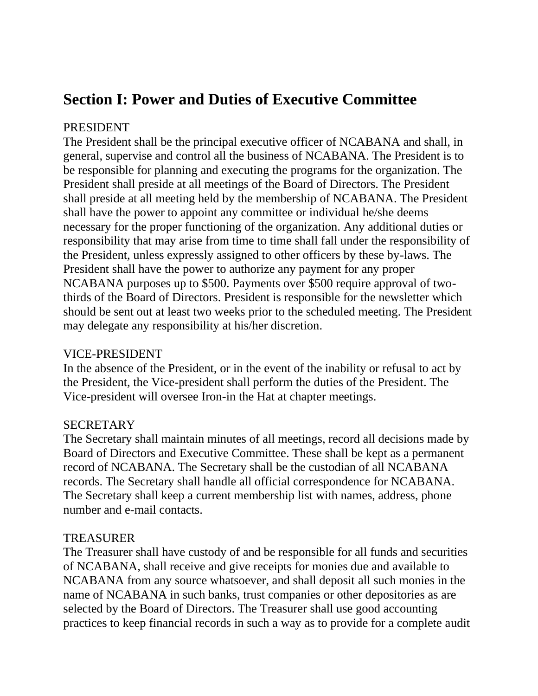### **Section I: Power and Duties of Executive Committee**

#### PRESIDENT

The President shall be the principal executive officer of NCABANA and shall, in general, supervise and control all the business of NCABANA. The President is to be responsible for planning and executing the programs for the organization. The President shall preside at all meetings of the Board of Directors. The President shall preside at all meeting held by the membership of NCABANA. The President shall have the power to appoint any committee or individual he/she deems necessary for the proper functioning of the organization. Any additional duties or responsibility that may arise from time to time shall fall under the responsibility of the President, unless expressly assigned to other officers by these by-laws. The President shall have the power to authorize any payment for any proper NCABANA purposes up to \$500. Payments over \$500 require approval of twothirds of the Board of Directors. President is responsible for the newsletter which should be sent out at least two weeks prior to the scheduled meeting. The President may delegate any responsibility at his/her discretion.

#### VICE-PRESIDENT

In the absence of the President, or in the event of the inability or refusal to act by the President, the Vice-president shall perform the duties of the President. The Vice-president will oversee Iron-in the Hat at chapter meetings.

#### SECRETARY

The Secretary shall maintain minutes of all meetings, record all decisions made by Board of Directors and Executive Committee. These shall be kept as a permanent record of NCABANA. The Secretary shall be the custodian of all NCABANA records. The Secretary shall handle all official correspondence for NCABANA. The Secretary shall keep a current membership list with names, address, phone number and e-mail contacts.

#### **TREASURER**

The Treasurer shall have custody of and be responsible for all funds and securities of NCABANA, shall receive and give receipts for monies due and available to NCABANA from any source whatsoever, and shall deposit all such monies in the name of NCABANA in such banks, trust companies or other depositories as are selected by the Board of Directors. The Treasurer shall use good accounting practices to keep financial records in such a way as to provide for a complete audit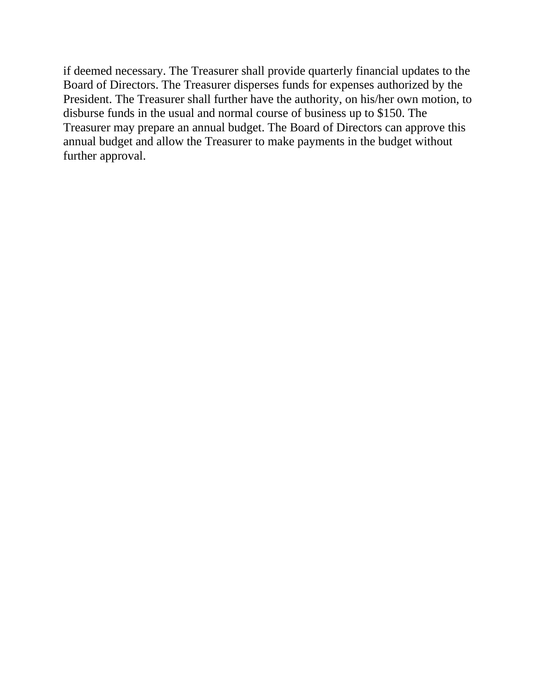if deemed necessary. The Treasurer shall provide quarterly financial updates to the Board of Directors. The Treasurer disperses funds for expenses authorized by the President. The Treasurer shall further have the authority, on his/her own motion, to disburse funds in the usual and normal course of business up to \$150. The Treasurer may prepare an annual budget. The Board of Directors can approve this annual budget and allow the Treasurer to make payments in the budget without further approval.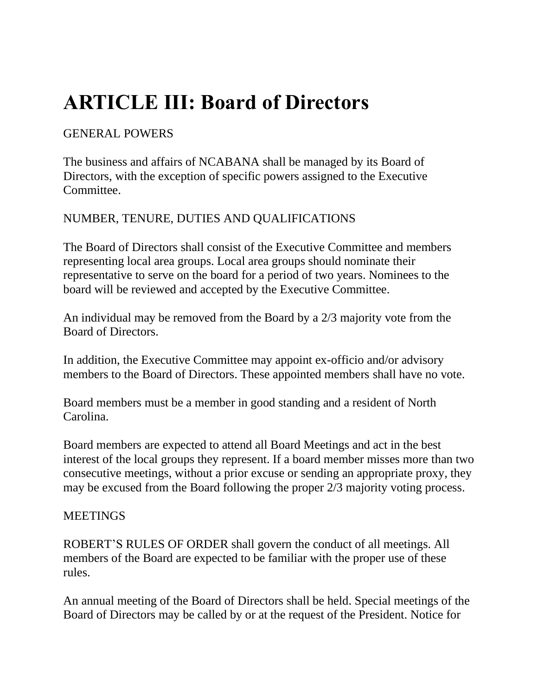# **ARTICLE III: Board of Directors**

### GENERAL POWERS

The business and affairs of NCABANA shall be managed by its Board of Directors, with the exception of specific powers assigned to the Executive Committee.

### NUMBER, TENURE, DUTIES AND QUALIFICATIONS

The Board of Directors shall consist of the Executive Committee and members representing local area groups. Local area groups should nominate their representative to serve on the board for a period of two years. Nominees to the board will be reviewed and accepted by the Executive Committee.

An individual may be removed from the Board by a 2/3 majority vote from the Board of Directors.

In addition, the Executive Committee may appoint ex-officio and/or advisory members to the Board of Directors. These appointed members shall have no vote.

Board members must be a member in good standing and a resident of North Carolina.

Board members are expected to attend all Board Meetings and act in the best interest of the local groups they represent. If a board member misses more than two consecutive meetings, without a prior excuse or sending an appropriate proxy, they may be excused from the Board following the proper 2/3 majority voting process.

### **MEETINGS**

ROBERT'S RULES OF ORDER shall govern the conduct of all meetings. All members of the Board are expected to be familiar with the proper use of these rules.

An annual meeting of the Board of Directors shall be held. Special meetings of the Board of Directors may be called by or at the request of the President. Notice for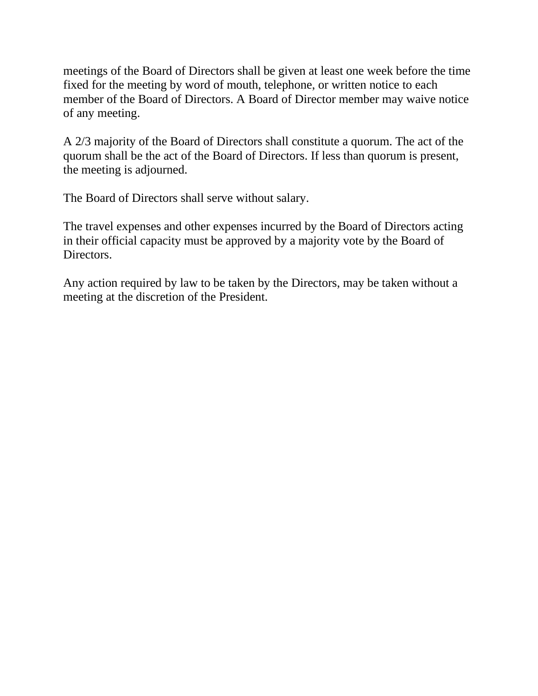meetings of the Board of Directors shall be given at least one week before the time fixed for the meeting by word of mouth, telephone, or written notice to each member of the Board of Directors. A Board of Director member may waive notice of any meeting.

A 2/3 majority of the Board of Directors shall constitute a quorum. The act of the quorum shall be the act of the Board of Directors. If less than quorum is present, the meeting is adjourned.

The Board of Directors shall serve without salary.

The travel expenses and other expenses incurred by the Board of Directors acting in their official capacity must be approved by a majority vote by the Board of Directors.

Any action required by law to be taken by the Directors, may be taken without a meeting at the discretion of the President.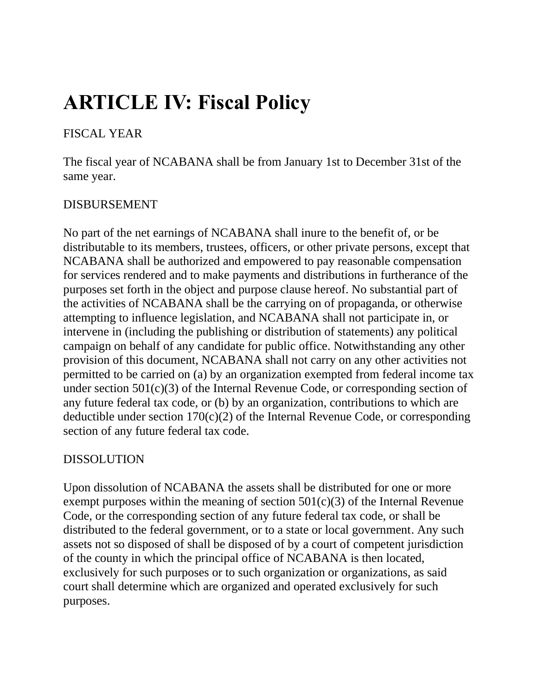# **ARTICLE IV: Fiscal Policy**

### FISCAL YEAR

The fiscal year of NCABANA shall be from January 1st to December 31st of the same year.

### DISBURSEMENT

No part of the net earnings of NCABANA shall inure to the benefit of, or be distributable to its members, trustees, officers, or other private persons, except that NCABANA shall be authorized and empowered to pay reasonable compensation for services rendered and to make payments and distributions in furtherance of the purposes set forth in the object and purpose clause hereof. No substantial part of the activities of NCABANA shall be the carrying on of propaganda, or otherwise attempting to influence legislation, and NCABANA shall not participate in, or intervene in (including the publishing or distribution of statements) any political campaign on behalf of any candidate for public office. Notwithstanding any other provision of this document, NCABANA shall not carry on any other activities not permitted to be carried on (a) by an organization exempted from federal income tax under section  $501(c)(3)$  of the Internal Revenue Code, or corresponding section of any future federal tax code, or (b) by an organization, contributions to which are deductible under section  $170(c)(2)$  of the Internal Revenue Code, or corresponding section of any future federal tax code.

#### DISSOLUTION

Upon dissolution of NCABANA the assets shall be distributed for one or more exempt purposes within the meaning of section  $501(c)(3)$  of the Internal Revenue Code, or the corresponding section of any future federal tax code, or shall be distributed to the federal government, or to a state or local government. Any such assets not so disposed of shall be disposed of by a court of competent jurisdiction of the county in which the principal office of NCABANA is then located, exclusively for such purposes or to such organization or organizations, as said court shall determine which are organized and operated exclusively for such purposes.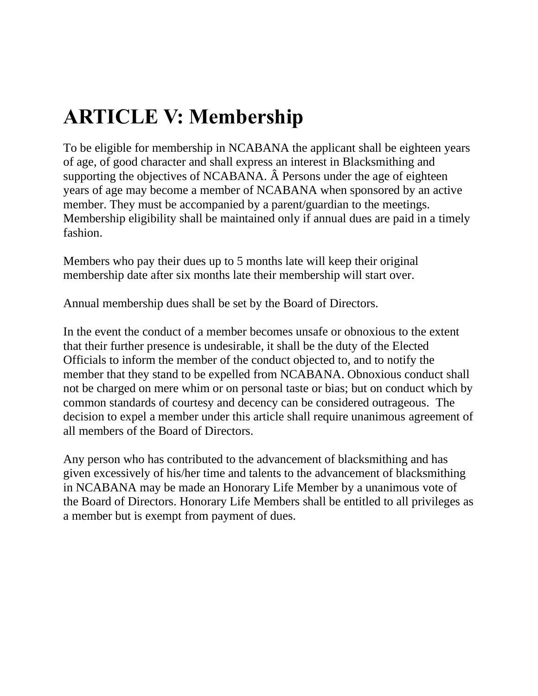# **ARTICLE V: Membership**

To be eligible for membership in NCABANA the applicant shall be eighteen years of age, of good character and shall express an interest in Blacksmithing and supporting the objectives of NCABANA. Â Persons under the age of eighteen years of age may become a member of NCABANA when sponsored by an active member. They must be accompanied by a parent/guardian to the meetings. Membership eligibility shall be maintained only if annual dues are paid in a timely fashion.

Members who pay their dues up to 5 months late will keep their original membership date after six months late their membership will start over.

Annual membership dues shall be set by the Board of Directors.

In the event the conduct of a member becomes unsafe or obnoxious to the extent that their further presence is undesirable, it shall be the duty of the Elected Officials to inform the member of the conduct objected to, and to notify the member that they stand to be expelled from NCABANA. Obnoxious conduct shall not be charged on mere whim or on personal taste or bias; but on conduct which by common standards of courtesy and decency can be considered outrageous. The decision to expel a member under this article shall require unanimous agreement of all members of the Board of Directors.

Any person who has contributed to the advancement of blacksmithing and has given excessively of his/her time and talents to the advancement of blacksmithing in NCABANA may be made an Honorary Life Member by a unanimous vote of the Board of Directors. Honorary Life Members shall be entitled to all privileges as a member but is exempt from payment of dues.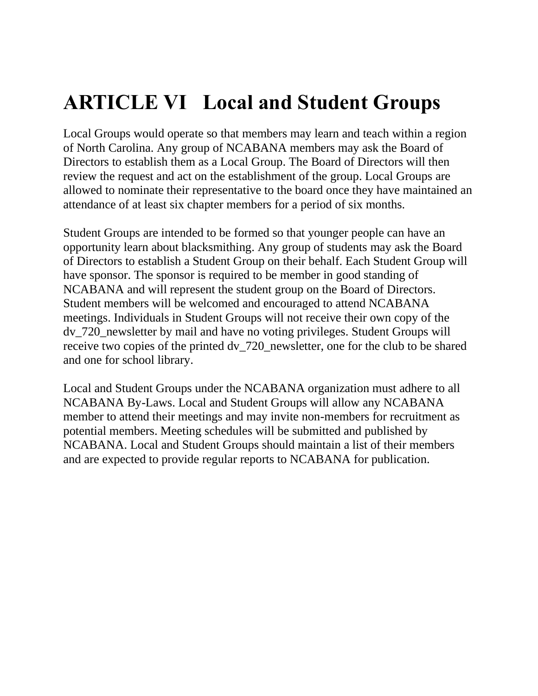# **ARTICLE VI Local and Student Groups**

Local Groups would operate so that members may learn and teach within a region of North Carolina. Any group of NCABANA members may ask the Board of Directors to establish them as a Local Group. The Board of Directors will then review the request and act on the establishment of the group. Local Groups are allowed to nominate their representative to the board once they have maintained an attendance of at least six chapter members for a period of six months.

Student Groups are intended to be formed so that younger people can have an opportunity learn about blacksmithing. Any group of students may ask the Board of Directors to establish a Student Group on their behalf. Each Student Group will have sponsor. The sponsor is required to be member in good standing of NCABANA and will represent the student group on the Board of Directors. Student members will be welcomed and encouraged to attend NCABANA meetings. Individuals in Student Groups will not receive their own copy of the dv\_720\_newsletter by mail and have no voting privileges. Student Groups will receive two copies of the printed dv\_720\_newsletter, one for the club to be shared and one for school library.

Local and Student Groups under the NCABANA organization must adhere to all NCABANA By-Laws. Local and Student Groups will allow any NCABANA member to attend their meetings and may invite non-members for recruitment as potential members. Meeting schedules will be submitted and published by NCABANA. Local and Student Groups should maintain a list of their members and are expected to provide regular reports to NCABANA for publication.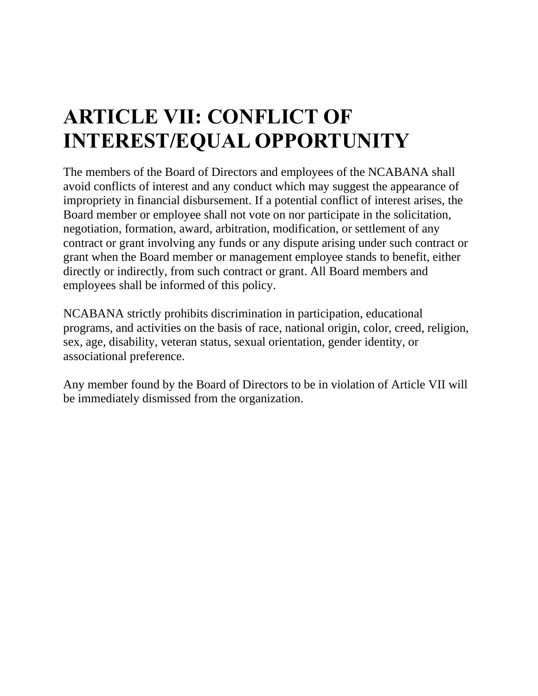# **ARTICLE VII: CONFLICT OF INTEREST/EQUAL OPPORTUNITY**

The members of the Board of Directors and employees of the NCABANA shall avoid conflicts of interest and any conduct which may suggest the appearance of impropriety in financial disbursement. If a potential conflict of interest arises, the Board member or employee shall not vote on nor participate in the solicitation, negotiation, formation, award, arbitration, modification, or settlement of any contract or grant involving any funds or any dispute arising under such contract or grant when the Board member or management employee stands to benefit, either directly or indirectly, from such contract or grant. All Board members and employees shall be informed of this policy.

NCABANA strictly prohibits discrimination in participation, educational programs, and activities on the basis of race, national origin, color, creed, religion, sex, age, disability, veteran status, sexual orientation, gender identity, or associational preference.

Any member found by the Board of Directors to be in violation of Article VII will be immediately dismissed from the organization.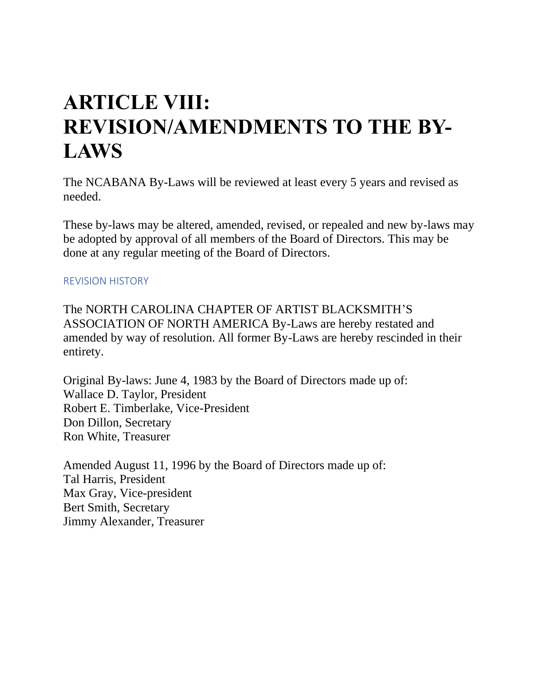### **ARTICLE VIII: REVISION/AMENDMENTS TO THE BY-LAWS**

The NCABANA By-Laws will be reviewed at least every 5 years and revised as needed.

These by-laws may be altered, amended, revised, or repealed and new by-laws may be adopted by approval of all members of the Board of Directors. This may be done at any regular meeting of the Board of Directors.

#### REVISION HISTORY

The NORTH CAROLINA CHAPTER OF ARTIST BLACKSMITH'S ASSOCIATION OF NORTH AMERICA By-Laws are hereby restated and amended by way of resolution. All former By-Laws are hereby rescinded in their entirety.

Original By-laws: June 4, 1983 by the Board of Directors made up of: Wallace D. Taylor, President Robert E. Timberlake, Vice-President Don Dillon, Secretary Ron White, Treasurer

Amended August 11, 1996 by the Board of Directors made up of: Tal Harris, President Max Gray, Vice-president Bert Smith, Secretary Jimmy Alexander, Treasurer